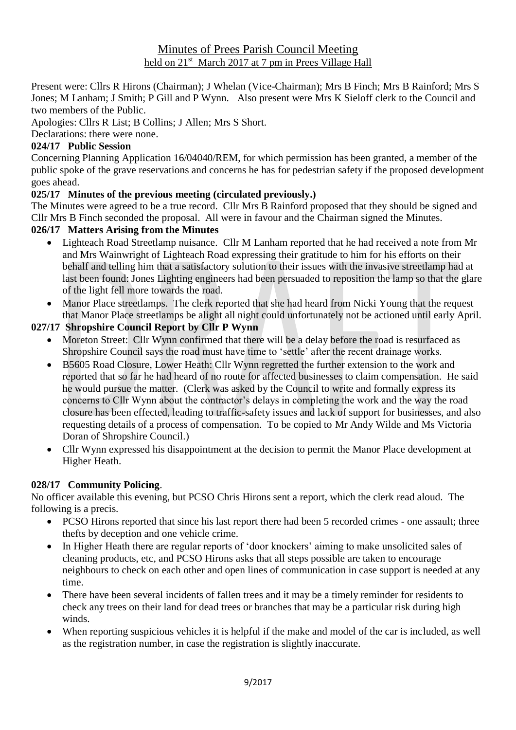## Minutes of Prees Parish Council Meeting held on 21<sup>st</sup> March 2017 at 7 pm in Prees Village Hall

Present were: Cllrs R Hirons (Chairman); J Whelan (Vice-Chairman); Mrs B Finch; Mrs B Rainford; Mrs S Jones; M Lanham; J Smith; P Gill and P Wynn. Also present were Mrs K Sieloff clerk to the Council and two members of the Public.

Apologies: Cllrs R List; B Collins; J Allen; Mrs S Short.

Declarations: there were none.

## **024/17 Public Session**

Concerning Planning Application 16/04040/REM, for which permission has been granted, a member of the public spoke of the grave reservations and concerns he has for pedestrian safety if the proposed development goes ahead.

# **025/17 Minutes of the previous meeting (circulated previously.)**

The Minutes were agreed to be a true record. Cllr Mrs B Rainford proposed that they should be signed and Cllr Mrs B Finch seconded the proposal. All were in favour and the Chairman signed the Minutes.

# **026/17 Matters Arising from the Minutes**

- Lighteach Road Streetlamp nuisance. Cllr M Lanham reported that he had received a note from Mr and Mrs Wainwright of Lighteach Road expressing their gratitude to him for his efforts on their behalf and telling him that a satisfactory solution to their issues with the invasive streetlamp had at last been found: Jones Lighting engineers had been persuaded to reposition the lamp so that the glare of the light fell more towards the road.
- Manor Place streetlamps. The clerk reported that she had heard from Nicki Young that the request that Manor Place streetlamps be alight all night could unfortunately not be actioned until early April.

# **027/17 Shropshire Council Report by Cllr P Wynn**

- Moreton Street: Cllr Wynn confirmed that there will be a delay before the road is resurfaced as Shropshire Council says the road must have time to 'settle' after the recent drainage works.
- B5605 Road Closure, Lower Heath: Cllr Wynn regretted the further extension to the work and reported that so far he had heard of no route for affected businesses to claim compensation. He said he would pursue the matter. (Clerk was asked by the Council to write and formally express its concerns to Cllr Wynn about the contractor's delays in completing the work and the way the road closure has been effected, leading to traffic-safety issues and lack of support for businesses, and also requesting details of a process of compensation. To be copied to Mr Andy Wilde and Ms Victoria Doran of Shropshire Council.)
- Cllr Wynn expressed his disappointment at the decision to permit the Manor Place development at Higher Heath.

## **028/17 Community Policing**.

No officer available this evening, but PCSO Chris Hirons sent a report, which the clerk read aloud. The following is a precis.

- PCSO Hirons reported that since his last report there had been 5 recorded crimes one assault; three thefts by deception and one vehicle crime.
- In Higher Heath there are regular reports of 'door knockers' aiming to make unsolicited sales of cleaning products, etc, and PCSO Hirons asks that all steps possible are taken to encourage neighbours to check on each other and open lines of communication in case support is needed at any time.
- There have been several incidents of fallen trees and it may be a timely reminder for residents to check any trees on their land for dead trees or branches that may be a particular risk during high winds.
- When reporting suspicious vehicles it is helpful if the make and model of the car is included, as well as the registration number, in case the registration is slightly inaccurate.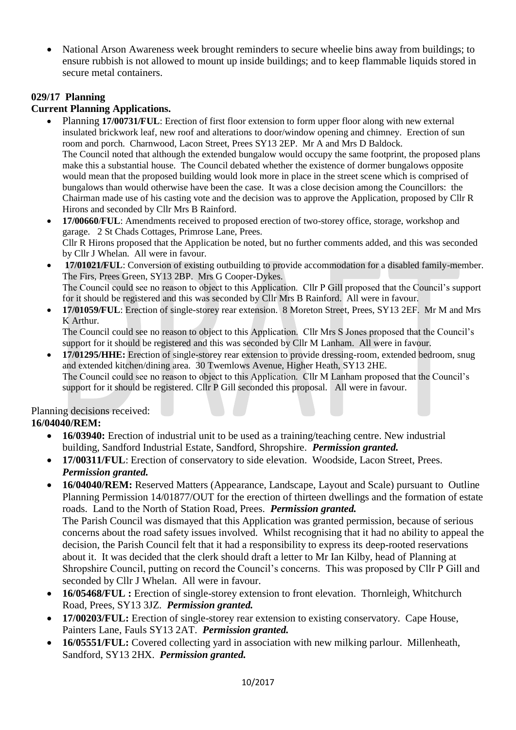• National Arson Awareness week brought reminders to secure wheelie bins away from buildings; to ensure rubbish is not allowed to mount up inside buildings; and to keep flammable liquids stored in secure metal containers.

### **029/17 Planning**

#### **Current Planning Applications.**

- Planning **17/00731/FUL**: Erection of first floor extension to form upper floor along with new external insulated brickwork leaf, new roof and alterations to door/window opening and chimney. Erection of sun room and porch. Charnwood, Lacon Street, Prees SY13 2EP. Mr A and Mrs D Baldock. The Council noted that although the extended bungalow would occupy the same footprint, the proposed plans make this a substantial house. The Council debated whether the existence of dormer bungalows opposite would mean that the proposed building would look more in place in the street scene which is comprised of bungalows than would otherwise have been the case. It was a close decision among the Councillors: the Chairman made use of his casting vote and the decision was to approve the Application, proposed by Cllr R Hirons and seconded by Cllr Mrs B Rainford.
- **17/00660**/**FUL**: Amendments received to proposed erection of two-storey office, storage, workshop and garage. 2 St Chads Cottages, Primrose Lane, Prees. Cllr R Hirons proposed that the Application be noted, but no further comments added, and this was seconded by Cllr J Whelan. All were in favour.
- **17/01021/FUL**: Conversion of existing outbuilding to provide accommodation for a disabled family-member. The Firs, Prees Green, SY13 2BP. Mrs G Cooper-Dykes. The Council could see no reason to object to this Application. Cllr P Gill proposed that the Council's support for it should be registered and this was seconded by Cllr Mrs B Rainford. All were in favour.
- **17/01059/FUL**: Erection of single-storey rear extension. 8 Moreton Street, Prees, SY13 2EF. Mr M and Mrs K Arthur.

The Council could see no reason to object to this Application. Cllr Mrs S Jones proposed that the Council's support for it should be registered and this was seconded by Cllr M Lanham. All were in favour.

• **17/01295/HHE:** Erection of single-storey rear extension to provide dressing-room, extended bedroom, snug and extended kitchen/dining area. 30 Twemlows Avenue, Higher Heath, SY13 2HE. The Council could see no reason to object to this Application. Cllr M Lanham proposed that the Council's support for it should be registered. Cllr P Gill seconded this proposal. All were in favour.

Planning decisions received:

## **16/04040/REM:**

- **16/03940:** Erection of industrial unit to be used as a training/teaching centre. New industrial building, Sandford Industrial Estate, Sandford, Shropshire. *Permission granted.*
- **17/00311/FUL**: Erection of conservatory to side elevation. Woodside, Lacon Street, Prees. *Permission granted.*
- **16/04040/REM:** Reserved Matters (Appearance, Landscape, Layout and Scale) pursuant to Outline Planning Permission 14/01877/OUT for the erection of thirteen dwellings and the formation of estate roads. Land to the North of Station Road, Prees. *Permission granted.* The Parish Council was dismayed that this Application was granted permission, because of serious concerns about the road safety issues involved. Whilst recognising that it had no ability to appeal the decision, the Parish Council felt that it had a responsibility to express its deep-rooted reservations about it. It was decided that the clerk should draft a letter to Mr Ian Kilby, head of Planning at Shropshire Council, putting on record the Council's concerns. This was proposed by Cllr P Gill and seconded by Cllr J Whelan. All were in favour.
- **16/05468/FUL :** Erection of single-storey extension to front elevation. Thornleigh, Whitchurch Road, Prees, SY13 3JZ. *Permission granted.*
- **17/00203/FUL:** Erection of single-storey rear extension to existing conservatory. Cape House, Painters Lane, Fauls SY13 2AT. *Permission granted.*
- **16/05551/FUL:** Covered collecting yard in association with new milking parlour. Millenheath, Sandford, SY13 2HX. *Permission granted.*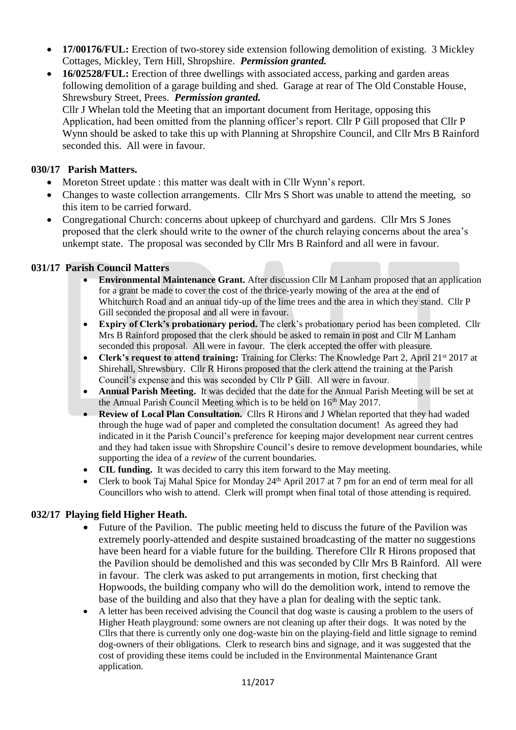- **17/00176/FUL:** Erection of two-storey side extension following demolition of existing. 3 Mickley Cottages, Mickley, Tern Hill, Shropshire. *Permission granted.*
- **16/02528/FUL:** Erection of three dwellings with associated access, parking and garden areas following demolition of a garage building and shed. Garage at rear of The Old Constable House, Shrewsbury Street, Prees. *Permission granted.*

Cllr J Whelan told the Meeting that an important document from Heritage, opposing this Application, had been omitted from the planning officer's report. Cllr P Gill proposed that Cllr P Wynn should be asked to take this up with Planning at Shropshire Council, and Cllr Mrs B Rainford seconded this. All were in favour.

#### **030/17 Parish Matters.**

- Moreton Street update : this matter was dealt with in Cllr Wynn's report.
- Changes to waste collection arrangements. Cllr Mrs S Short was unable to attend the meeting, so this item to be carried forward.
- Congregational Church: concerns about upkeep of churchyard and gardens. Cllr Mrs S Jones proposed that the clerk should write to the owner of the church relaying concerns about the area's unkempt state. The proposal was seconded by Cllr Mrs B Rainford and all were in favour.

### **031/17 Parish Council Matters**

- **Environmental Maintenance Grant.** After discussion Cllr M Lanham proposed that an application for a grant be made to cover the cost of the thrice-yearly mowing of the area at the end of Whitchurch Road and an annual tidy-up of the lime trees and the area in which they stand. Cllr P Gill seconded the proposal and all were in favour.
- **Expiry of Clerk's probationary period.** The clerk's probationary period has been completed. Cllr Mrs B Rainford proposed that the clerk should be asked to remain in post and Cllr M Lanham seconded this proposal. All were in favour. The clerk accepted the offer with pleasure.
- **Clerk's request to attend training:** Training for Clerks: The Knowledge Part 2, April 21st 2017 at Shirehall, Shrewsbury. Cllr R Hirons proposed that the clerk attend the training at the Parish Council's expense and this was seconded by Cllr P Gill. All were in favour.
- **Annual Parish Meeting.** It was decided that the date for the Annual Parish Meeting will be set at the Annual Parish Council Meeting which is to be held on 16<sup>th</sup> May 2017.
- **Review of Local Plan Consultation.** Cllrs R Hirons and J Whelan reported that they had waded through the huge wad of paper and completed the consultation document! As agreed they had indicated in it the Parish Council's preference for keeping major development near current centres and they had taken issue with Shropshire Council's desire to remove development boundaries, while supporting the idea of a *review* of the current boundaries.
- **CIL funding.** It was decided to carry this item forward to the May meeting.
- Clerk to book Taj Mahal Spice for Monday 24th April 2017 at 7 pm for an end of term meal for all Councillors who wish to attend. Clerk will prompt when final total of those attending is required.

## **032/17 Playing field Higher Heath.**

- Future of the Pavilion. The public meeting held to discuss the future of the Pavilion was extremely poorly-attended and despite sustained broadcasting of the matter no suggestions have been heard for a viable future for the building. Therefore Cllr R Hirons proposed that the Pavilion should be demolished and this was seconded by Cllr Mrs B Rainford. All were in favour. The clerk was asked to put arrangements in motion, first checking that Hopwoods, the building company who will do the demolition work, intend to remove the base of the building and also that they have a plan for dealing with the septic tank.
- A letter has been received advising the Council that dog waste is causing a problem to the users of Higher Heath playground: some owners are not cleaning up after their dogs. It was noted by the Cllrs that there is currently only one dog-waste bin on the playing-field and little signage to remind dog-owners of their obligations. Clerk to research bins and signage, and it was suggested that the cost of providing these items could be included in the Environmental Maintenance Grant application.